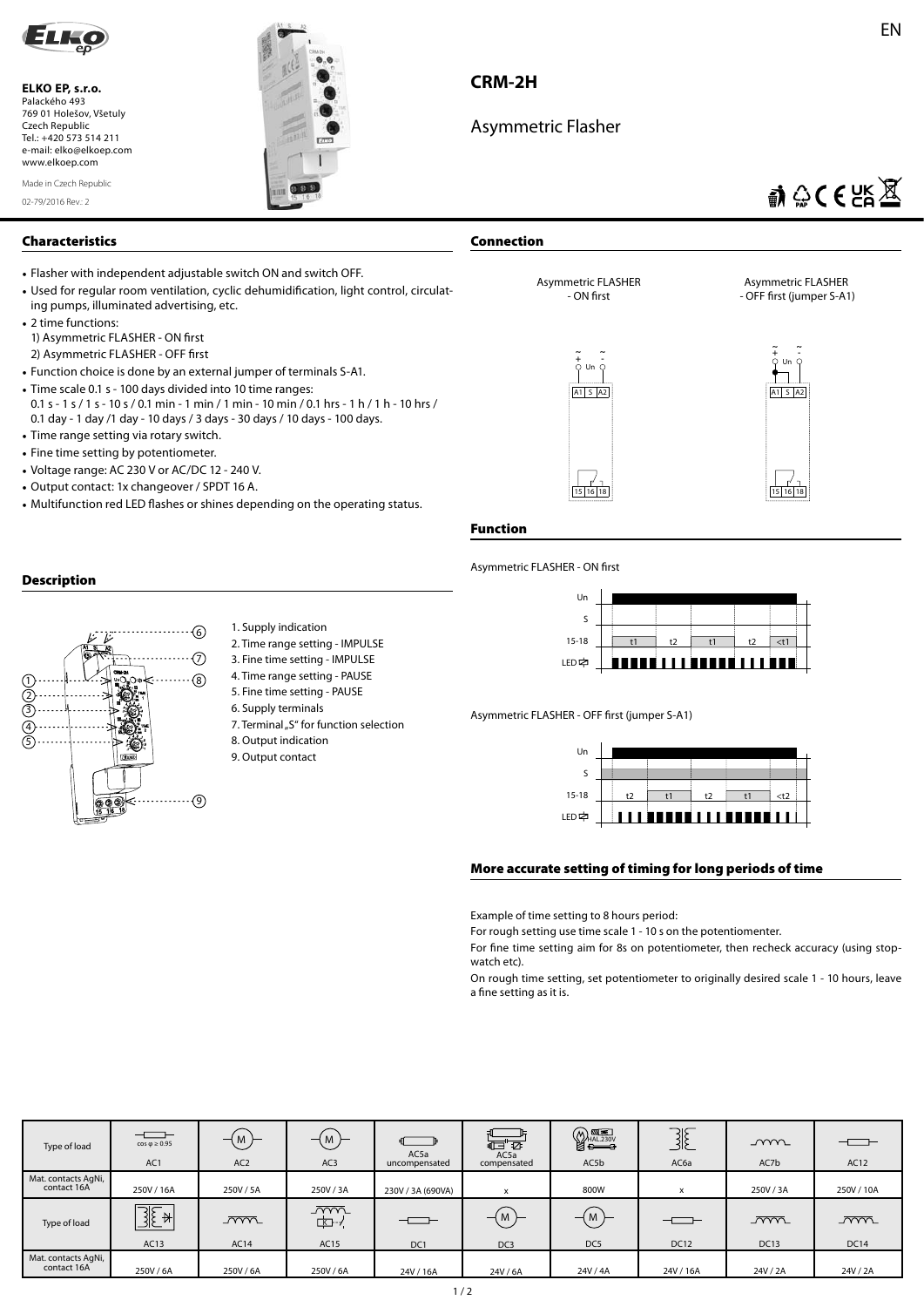

**ELKO EP, s.r.o.**  Palackého 493 769 01 Holešov, Všetuly Czech Republic Tel.: +420 573 514 211 e-mail: elko@elkoep.com www.elkoep.com

02-79/2016 Rev.: 2 Made in Czech Republic



## **CRM-2H**

**Connection**

**Function**

Asymmetric FLASHER - ON first

Asymmetric Flasher

# $\mathbb{R} \otimes \mathsf{CE} \boxtimes \mathbb{R}$

A1 S A2

┑

Asymmetric FLASHER - OFF first (jumper S-A1)

> **~ <sup>+</sup> <sup>~</sup> -** Un

15 16 18

#### **Characteristics**

- Flasher with independent adjustable switch ON and switch OFF.
- Used for regular room ventilation, cyclic dehumidification, light control, circulating pumps, illuminated advertising, etc.
- 2 time functions: 1) Asymmetric FLASHER - ON first 2) Asymmetric FLASHER - OFF first
- Function choice is done by an external jumper of terminals S-A1.
- Time scale 0.1 s 100 days divided into 10 time ranges: 0.1 s - 1 s / 1 s - 10 s / 0.1 min - 1 min / 1 min - 10 min / 0.1 hrs - 1 h / 1 h - 10 hrs / 0.1 day - 1 day /1 day - 10 days / 3 days - 30 days / 10 days - 100 days.
- Time range setting via rotary switch.
- Fine time setting by potentiometer.
- Voltage range: AC 230 V or AC/DC 12 240 V.
- Output contact: 1x changeover / SPDT 16 A.
- Multifunction red LED flashes or shines depending on the operating status.

### **Description**



- 1. Supply indication
- 2. Time range setting IMPULSE
- 3. Fine time setting IMPULSE
- 4. Time range setting PAUSE
- 5. Fine time setting PAUSE
- 6. Supply terminals 7. Terminal "S" for function selection
- 
- 8. Output indication
- 9. Output contact

Un S 15-18 t1 t2 t1 t2 <t1 **LED** --------------

Asymmetric FLASHER - OFF first (jumper S-A1)

A1 S A2

**~ <sup>+</sup> <sup>~</sup> -** Un

Asymmetric FLASHER - ON first

15 16 18



#### **More accurate setting of timing for long periods of time**

Example of time setting to 8 hours period:

For rough setting use time scale 1 - 10 s on the potentiomenter.

For fine time setting aim for 8s on potentiometer, then recheck accuracy (using stopwatch etc).

On rough time setting, set potentiometer to originally desired scale 1 - 10 hours, leave a fine setting as it is.

| Type of load                       | $  -$<br>$cos \phi \ge 0.95$<br>AC <sub>1</sub> | $-(M)$<br>AC <sub>2</sub> | (M)<br>AC <sub>3</sub>      | $\Box$<br>AC5a<br>uncompensated | $\overline{d}$ $\overline{d}$<br>AC5a<br>compensated | $\begin{picture}(120,10) \put(0,0){\line(1,0){155}} \put(15,0){\line(1,0){155}} \put(15,0){\line(1,0){155}} \put(15,0){\line(1,0){155}} \put(15,0){\line(1,0){155}} \put(15,0){\line(1,0){155}} \put(15,0){\line(1,0){155}} \put(15,0){\line(1,0){155}} \put(15,0){\line(1,0){155}} \put(15,0){\line(1,0){155}} \put(15,0){\line(1,0){155}}$<br>AC5b | 3E<br>AC <sub>6a</sub> | mm<br>AC7b                | $  -$<br>AC12                  |
|------------------------------------|-------------------------------------------------|---------------------------|-----------------------------|---------------------------------|------------------------------------------------------|------------------------------------------------------------------------------------------------------------------------------------------------------------------------------------------------------------------------------------------------------------------------------------------------------------------------------------------------------|------------------------|---------------------------|--------------------------------|
| Mat. contacts AgNi,<br>contact 16A | 250V / 16A                                      | 250V / 5A                 | 250V / 3A                   | 230V / 3A (690VA)               | x                                                    | 800W                                                                                                                                                                                                                                                                                                                                                 | x                      | 250V/3A                   | 250V / 10A                     |
| Type of load                       | $\overline{\mathbb{B}[\mathbb{E}^*]}$<br>AC13   | $\overline{mm}$<br>AC14   | $\sqrt{mn}$<br>⊡⊡-≁<br>AC15 | - -<br>DC1                      | . IVI<br>DC <sub>3</sub>                             | $-\left(M\right)$<br>DC5                                                                                                                                                                                                                                                                                                                             | -- -<br><b>DC12</b>    | <u>_ww</u><br><b>DC13</b> | $\overline{mm}$<br><b>DC14</b> |
| Mat. contacts AgNi,<br>contact 16A | 250V/6A                                         | 250V/6A                   | 250V/6A                     | 24V / 16A                       | 24V/6A                                               | 24V / 4A                                                                                                                                                                                                                                                                                                                                             | 24V / 16A              | 24V / 2A                  | 24V / 2A                       |